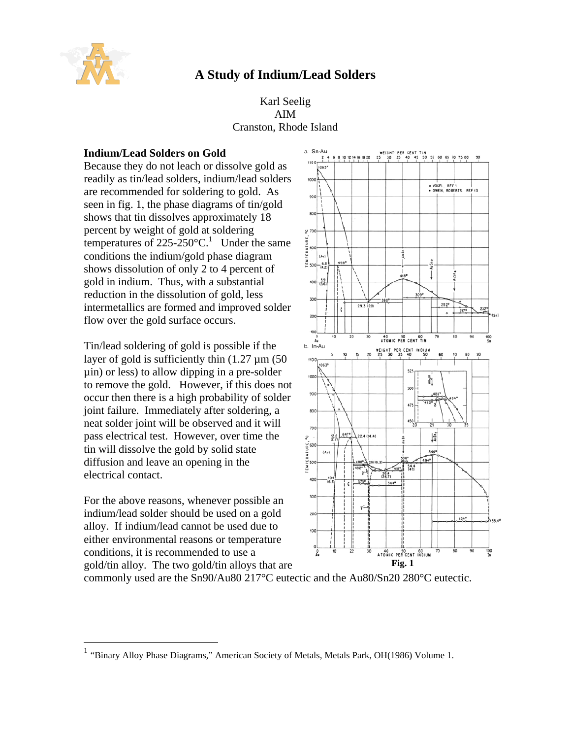

# **A Study of Indium/Lead Solders**

# Karl Seelig AIM Cranston, Rhode Island

# **Indium/Lead Solders on Gold**

Because they do not leach or dissolve gold as readily as tin/lead solders, indium/lead solders are recommended for soldering to gold. As seen in fig. 1, the phase diagrams of tin/gold shows that tin dissolves approximately 18 percent by weight of gold at soldering temperatures of  $225-250^{\circ}$ C.<sup>1</sup> Under the same conditions the indium/gold phase diagram shows dissolution of only 2 to 4 percent of gold in indium. Thus, with a substantial reduction in the dissolution of gold, less intermetallics are formed and improved solder flow over the gold surface occurs.

Tin/lead soldering of gold is possible if the layer of gold is sufficiently thin  $(1.27 \mu m)$  (50) µin) or less) to allow dipping in a pre-solder to remove the gold. However, if this does not occur then there is a high probability of solder joint failure. Immediately after soldering, a neat solder joint will be observed and it will pass electrical test. However, over time the tin will dissolve the gold by solid state diffusion and leave an opening in the electrical contact.

For the above reasons, whenever possible an indium/lead solder should be used on a gold alloy. If indium/lead cannot be used due to either environmental reasons or temperature conditions, it is recommended to use a gold/tin alloy. The two gold/tin alloys that are



commonly used are the Sn90/Au80 217°C eutectic and the Au80/Sn20 280°C eutectic.

 1 "Binary Alloy Phase Diagrams," American Society of Metals, Metals Park, OH(1986) Volume 1.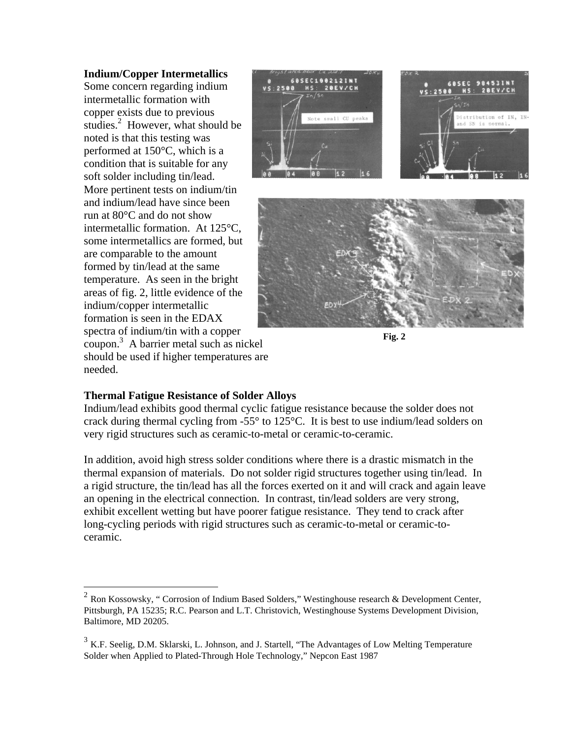#### **Indium/Copper Intermetallics**

Some concern regarding indium intermetallic formation with copper exists due to previous studies.<sup>2</sup> However, what should be noted is that this testing was performed at 150°C, which is a condition that is suitable for any soft solder including tin/lead. More pertinent tests on indium/tin and indium/lead have since been run at 80°C and do not show intermetallic formation. At 125°C, some intermetallics are formed, but are comparable to the amount formed by tin/lead at the same temperature. As seen in the bright areas of fig. 2, little evidence of the indium/copper intermetallic formation is seen in the EDAX spectra of indium/tin with a copper coupon.<sup>3</sup> A barrier metal such as nickel

should be used if higher temperatures are needed.





#### **Thermal Fatigue Resistance of Solder Alloys**

Indium/lead exhibits good thermal cyclic fatigue resistance because the solder does not crack during thermal cycling from -55° to 125°C. It is best to use indium/lead solders on very rigid structures such as ceramic-to-metal or ceramic-to-ceramic.

In addition, avoid high stress solder conditions where there is a drastic mismatch in the thermal expansion of materials. Do not solder rigid structures together using tin/lead. In a rigid structure, the tin/lead has all the forces exerted on it and will crack and again leave an opening in the electrical connection. In contrast, tin/lead solders are very strong, exhibit excellent wetting but have poorer fatigue resistance. They tend to crack after long-cycling periods with rigid structures such as ceramic-to-metal or ceramic-toceramic.

<sup>&</sup>lt;sup>2</sup> Ron Kossowsky, " Corrosion of Indium Based Solders," Westinghouse research & Development Center, Pittsburgh, PA 15235; R.C. Pearson and L.T. Christovich, Westinghouse Systems Development Division, Baltimore, MD 20205.

 $3$  K.F. Seelig, D.M. Sklarski, L. Johnson, and J. Startell, "The Advantages of Low Melting Temperature Solder when Applied to Plated-Through Hole Technology," Nepcon East 1987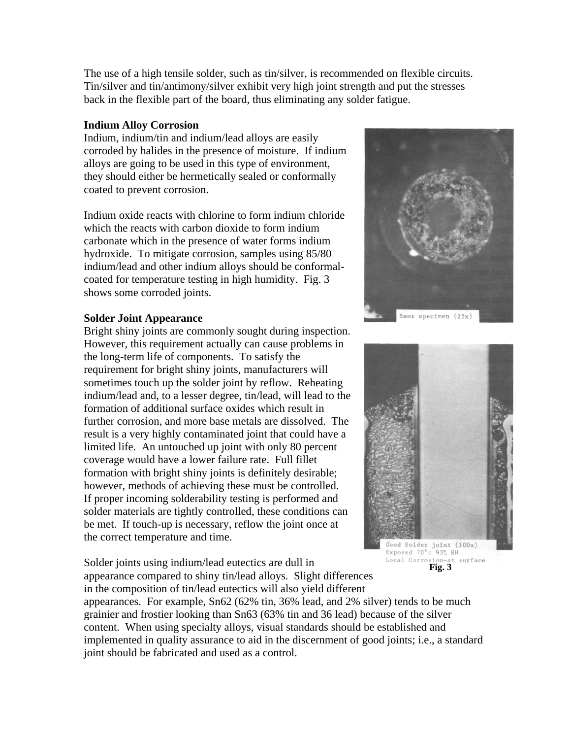The use of a high tensile solder, such as tin/silver, is recommended on flexible circuits. Tin/silver and tin/antimony/silver exhibit very high joint strength and put the stresses back in the flexible part of the board, thus eliminating any solder fatigue.

## **Indium Alloy Corrosion**

Indium, indium/tin and indium/lead alloys are easily corroded by halides in the presence of moisture. If indium alloys are going to be used in this type of environment, they should either be hermetically sealed or conformally coated to prevent corrosion.

Indium oxide reacts with chlorine to form indium chloride which the reacts with carbon dioxide to form indium carbonate which in the presence of water forms indium hydroxide. To mitigate corrosion, samples using 85/80 indium/lead and other indium alloys should be conformalcoated for temperature testing in high humidity. Fig. 3 shows some corroded joints.

#### **Solder Joint Appearance**

Bright shiny joints are commonly sought during inspection. However, this requirement actually can cause problems in the long-term life of components. To satisfy the requirement for bright shiny joints, manufacturers will sometimes touch up the solder joint by reflow. Reheating indium/lead and, to a lesser degree, tin/lead, will lead to the formation of additional surface oxides which result in further corrosion, and more base metals are dissolved. The result is a very highly contaminated joint that could have a limited life. An untouched up joint with only 80 percent coverage would have a lower failure rate. Full fillet formation with bright shiny joints is definitely desirable; however, methods of achieving these must be controlled. If proper incoming solderability testing is performed and solder materials are tightly controlled, these conditions can be met. If touch-up is necessary, reflow the joint once at the correct temperature and time.

Solder joints using indium/lead eutectics are dull in appearance compared to shiny tin/lead alloys. Slight differences in the composition of tin/lead eutectics will also yield different





Local Corrosion-at surface

appearances. For example, Sn62 (62% tin, 36% lead, and 2% silver) tends to be much grainier and frostier looking than Sn63 (63% tin and 36 lead) because of the silver content. When using specialty alloys, visual standards should be established and implemented in quality assurance to aid in the discernment of good joints; i.e., a standard joint should be fabricated and used as a control.